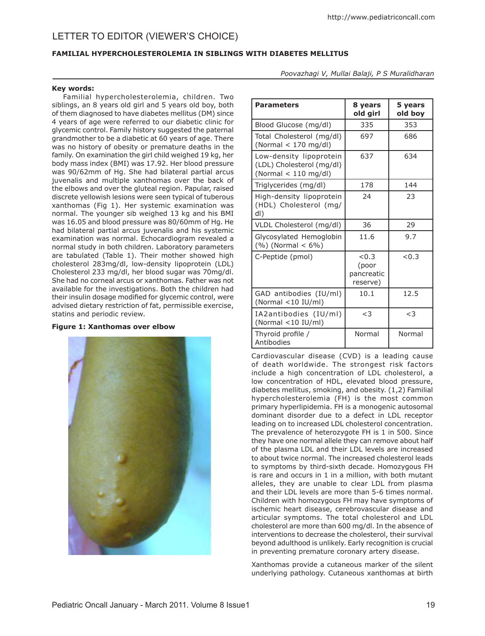# Letter to editor (Viewer's Choice)

## **FAMILIAL HYPERCHOLESTEROLEMIA IN SIBLINGS WITH DIABETES MELLITUS**

*Poovazhagi V, Mullai Balaji, P S Muralidharan* 

#### **Key words:**

Familial hypercholesterolemia, children. Two siblings, an 8 years old girl and 5 years old boy, both of them diagnosed to have diabetes mellitus (DM) since 4 years of age were referred to our diabetic clinic for glycemic control. Family history suggested the paternal grandmother to be a diabetic at 60 years of age. There was no history of obesity or premature deaths in the family. On examination the girl child weighed 19 kg, her body mass index (BMI) was 17.92. Her blood pressure was 90/62mm of Hg. She had bilateral partial arcus juvenalis and multiple xanthomas over the back of the elbows and over the gluteal region. Papular, raised discrete yellowish lesions were seen typical of tuberous xanthomas (Fig 1). Her systemic examination was normal. The younger sib weighed 13 kg and his BMI was 16.05 and blood pressure was 80/60mm of Hg. He had bilateral partial arcus juvenalis and his systemic examination was normal. Echocardiogram revealed a normal study in both children. Laboratory parameters are tabulated (Table 1). Their mother showed high cholesterol 283mg/dl, low-density lipoprotein (LDL) Cholesterol 233 mg/dl, her blood sugar was 70mg/dl. She had no corneal arcus or xanthomas. Father was not available for the investigations. Both the children had their insulin dosage modified for glycemic control, were advised dietary restriction of fat, permissible exercise, statins and periodic review.

### **Figure 1: Xanthomas over elbow**



| <b>Parameters</b>                                                              | 8 years<br>old girl                      | 5 years<br>old boy |
|--------------------------------------------------------------------------------|------------------------------------------|--------------------|
| Blood Glucose (mg/dl)                                                          | 335                                      | 353                |
| Total Cholesterol (mg/dl)<br>(Normal $<$ 170 mg/dl)                            | 697                                      | 686                |
| Low-density lipoprotein<br>(LDL) Cholesterol (mg/dl)<br>(Normal $<$ 110 mg/dl) | 637                                      | 634                |
| Triglycerides (mg/dl)                                                          | 178                                      | 144                |
| High-density lipoprotein<br>(HDL) Cholesterol (mg/<br>dl)                      | 24                                       | 23                 |
| VLDL Cholesterol (mg/dl)                                                       | 36                                       | 29                 |
| Glycosylated Hemoglobin<br>$(\%)(Normal < 6\%)$                                | 11.6                                     | 9.7                |
| C-Peptide (pmol)                                                               | < 0.3<br>(poor<br>pancreatic<br>reserve) | < 0.3              |
| GAD antibodies (IU/ml)<br>(Normal <10 IU/ml)                                   | 10.1                                     | 12.5               |
| IA2antibodies (IU/ml)<br>(Normal <10 IU/ml)                                    | $<$ 3                                    | $<$ 3              |
| Thyroid profile /<br>Antibodies                                                | Normal                                   | Normal             |

Cardiovascular disease (CVD) is a leading cause of death worldwide. The strongest risk factors include a high concentration of LDL cholesterol, a low concentration of HDL, elevated blood pressure, diabetes mellitus, smoking, and obesity. (1,2) Familial hypercholesterolemia (FH) is the most common primary hyperlipidemia. FH is a monogenic autosomal dominant disorder due to a defect in LDL receptor leading on to increased LDL cholesterol concentration. The prevalence of heterozygote FH is 1 in 500. Since they have one normal allele they can remove about half of the plasma LDL and their LDL levels are increased to about twice normal. The increased cholesterol leads to symptoms by third-sixth decade. Homozygous FH is rare and occurs in 1 in a million, with both mutant alleles, they are unable to clear LDL from plasma and their LDL levels are more than 5-6 times normal. Children with homozygous FH may have symptoms of ischemic heart disease, cerebrovascular disease and articular symptoms. The total cholesterol and LDL cholesterol are more than 600 mg/dl. In the absence of interventions to decrease the cholesterol, their survival beyond adulthood is unlikely. Early recognition is crucial in preventing premature coronary artery disease.

Xanthomas provide a cutaneous marker of the silent underlying pathology. Cutaneous xanthomas at birth